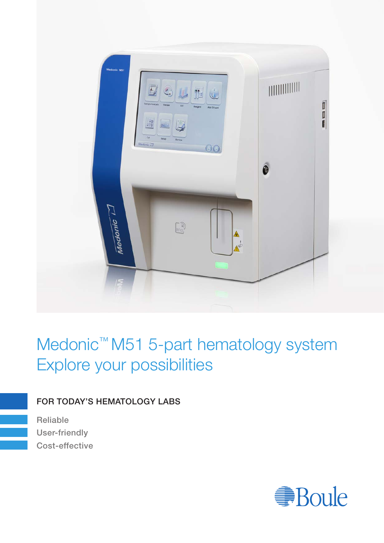

Medonic<sup>™</sup> M51 5-part hematology system Explore your possibilities

# FOR TODAY'S HEMATOLOGY LABS

Reliable User-friendly Cost-effective

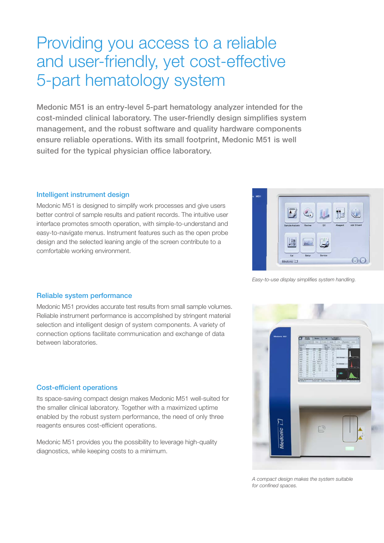# Providing you access to a reliable and user-friendly, yet cost-effective 5-part hematology system

Medonic M51 is an entry-level 5-part hematology analyzer intended for the cost-minded clinical laboratory. The user-friendly design simplifies system management, and the robust software and quality hardware components ensure reliable operations. With its small footprint, Medonic M51 is well suited for the typical physician office laboratory.

## Intelligent instrument design

Medonic M51 is designed to simplify work processes and give users better control of sample results and patient records. The intuitive user interface promotes smooth operation, with simple-to-understand and easy-to-navigate menus. Instrument features such as the open probe design and the selected leaning angle of the screen contribute to a comfortable working environment.



*Easy-to-use display simplifies system handling.*

### Reliable system performance

Medonic M51 provides accurate test results from small sample volumes. Reliable instrument performance is accomplished by stringent material selection and intelligent design of system components. A variety of connection options facilitate communication and exchange of data between laboratories.

### Cost-efficient operations

Its space-saving compact design makes Medonic M51 well-suited for the smaller clinical laboratory. Together with a maximized uptime enabled by the robust system performance, the need of only three reagents ensures cost-efficient operations.

Medonic M51 provides you the possibility to leverage high-quality diagnostics, while keeping costs to a minimum.



*A compact design makes the system suitable for confined spaces.*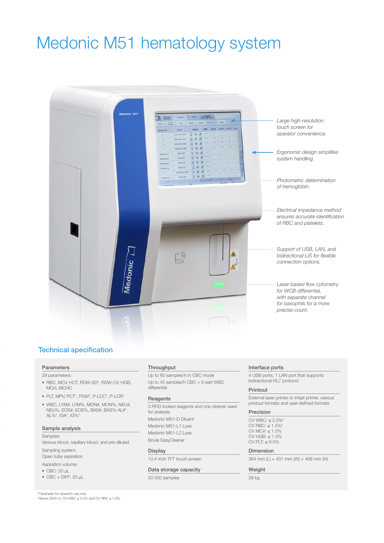# Medonic M51 hematology system



## Technical specification

#### Parameters

29 parameters:

- RBC, MCV, HCT, RDW-SD\*, RDW-CV, HGB, MCH, MCHC
- PLT, MPV, PCT\*, PDW\*, P-LCC\*, P-LCR\*
- WBC, LYM#, LYM%, MON#, MON%, NEU#, NEU%, EOS#, EOS%, BAS#, BAS% AL#\*, AL%\*, IG#\*, IG%\*

#### Sample analysis

Samples:

Venous blood, capillary blood, and pre-diluted

#### Sampling system: Open tube aspiration

Aspiration volume:

- CBC: 20 μL
- CBC + DIFF: 25 μL

\* Parameter for research use only.

† Above 2000 m, CV WBC ≤ 3.5% and CV RBC ≤ 1.8%.

#### **Throughput**

Up to 60 samples/h in CBC mode Up to 45 samples/h CBC + 5-part WBC differential

#### **Reagents**

3 RFID locked reagents and one cleaner used for analysis: Medonic M51-D Diluent Medonic M51-L1 Lyse Medonic M51-L2 Lyse Boule EasyCleaner

#### **Display**

10.4 inch TFT touch screen

#### Data storage capacity

50 000 samples

#### Interface ports

4 USB ports, 1 LAN port that supports bidirectional HL7 protocol

#### Printout

External laser printer or inkjet printer, various printout formats and user-defined formats

#### Precision

CV WBC:  $\leq 2.0\%$ <sup>†</sup> CV RBC:  $\leq 1.5\%$ CV MCV:  $\leq 1.0\%$  $CV HGB:  $\leq 1.5\%$$ CV PLT:  $\leq 6.0\%$ 

#### Dimension

364 mm (L)  $\times$  431 mm (W)  $\times$  498 mm (H)

#### Weight

28 kg